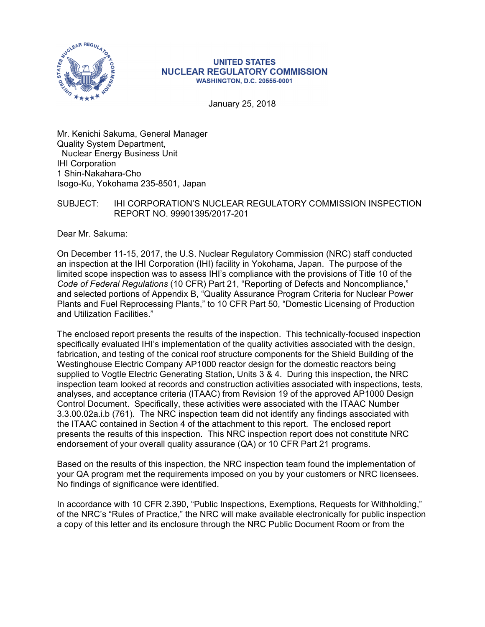

#### **UNITED STATES NUCLEAR REGULATORY COMMISSION WASHINGTON, D.C. 20555-0001**

January 25, 2018

Mr. Kenichi Sakuma, General Manager Quality System Department, Nuclear Energy Business Unit IHI Corporation 1 Shin-Nakahara-Cho Isogo-Ku, Yokohama 235-8501, Japan

### SUBJECT: IHI CORPORATION'S NUCLEAR REGULATORY COMMISSION INSPECTION REPORT NO. 99901395/2017-201

Dear Mr. Sakuma:

On December 11-15, 2017, the U.S. Nuclear Regulatory Commission (NRC) staff conducted an inspection at the IHI Corporation (IHI) facility in Yokohama, Japan. The purpose of the limited scope inspection was to assess IHI's compliance with the provisions of Title 10 of the *Code of Federal Regulations* (10 CFR) Part 21, "Reporting of Defects and Noncompliance," and selected portions of Appendix B, "Quality Assurance Program Criteria for Nuclear Power Plants and Fuel Reprocessing Plants," to 10 CFR Part 50, "Domestic Licensing of Production and Utilization Facilities."

The enclosed report presents the results of the inspection. This technically-focused inspection specifically evaluated IHI's implementation of the quality activities associated with the design, fabrication, and testing of the conical roof structure components for the Shield Building of the Westinghouse Electric Company AP1000 reactor design for the domestic reactors being supplied to Vogtle Electric Generating Station, Units 3 & 4. During this inspection, the NRC inspection team looked at records and construction activities associated with inspections, tests, analyses, and acceptance criteria (ITAAC) from Revision 19 of the approved AP1000 Design Control Document. Specifically, these activities were associated with the ITAAC Number 3.3.00.02a.i.b (761). The NRC inspection team did not identify any findings associated with the ITAAC contained in Section 4 of the attachment to this report. The enclosed report presents the results of this inspection. This NRC inspection report does not constitute NRC endorsement of your overall quality assurance (QA) or 10 CFR Part 21 programs.

Based on the results of this inspection, the NRC inspection team found the implementation of your QA program met the requirements imposed on you by your customers or NRC licensees. No findings of significance were identified.

In accordance with 10 CFR 2.390, "Public Inspections, Exemptions, Requests for Withholding," of the NRC's "Rules of Practice," the NRC will make available electronically for public inspection a copy of this letter and its enclosure through the NRC Public Document Room or from the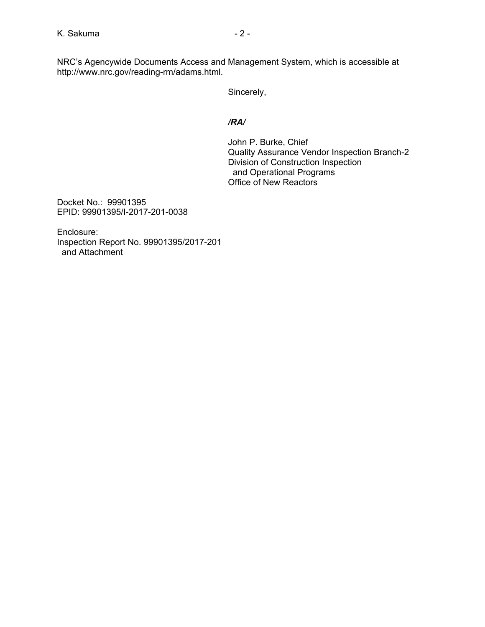NRC's Agencywide Documents Access and Management System, which is accessible at http://www.nrc.gov/reading-rm/adams.html.

Sincerely,

## */RA/*

John P. Burke, Chief Quality Assurance Vendor Inspection Branch-2 Division of Construction Inspection and Operational Programs Office of New Reactors

Docket No.: 99901395 EPID: 99901395/I-2017-201-0038

Enclosure: Inspection Report No. 99901395/2017-201 and Attachment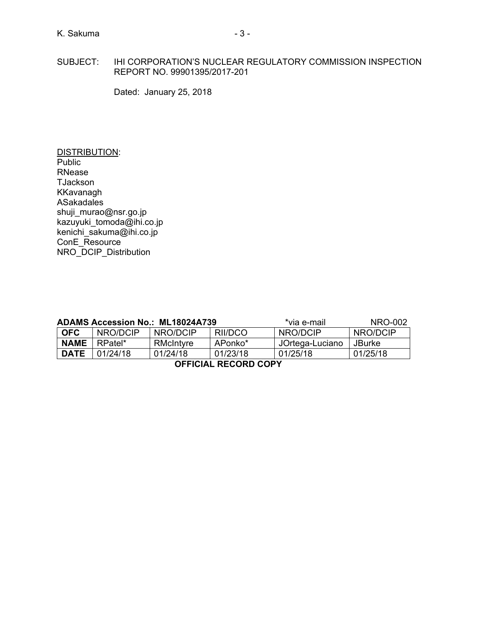## SUBJECT: IHI CORPORATION'S NUCLEAR REGULATORY COMMISSION INSPECTION REPORT NO. 99901395/2017-201

Dated: January 25, 2018

DISTRIBUTION: Public RNease TJackson KKavanagh ASakadales shuji\_murao@nsr.go.jp kazuyuki tomoda@ihi.co.jp kenichi\_sakuma@ihi.co.jp ConE\_Resource NRO\_DCIP\_Distribution

| <b>ADAMS Accession No.: ML18024A739</b> |          |           |          | *via e-mail     | NRO-002       |  |  |
|-----------------------------------------|----------|-----------|----------|-----------------|---------------|--|--|
| <b>OFC</b>                              | NRO/DCIP | NRO/DCIP  | RII/DCO  | NRO/DCIP        | NRO/DCIP      |  |  |
| <b>NAME</b>                             | RPatel*  | RMcIntyre | APonko*  | JOrtega-Luciano | <b>JBurke</b> |  |  |
| <b>DATE</b>                             | 01/24/18 | 01/24/18  | 01/25/18 | 01/25/18        |               |  |  |
| <b>OFFICIAL RECORD COPY</b>             |          |           |          |                 |               |  |  |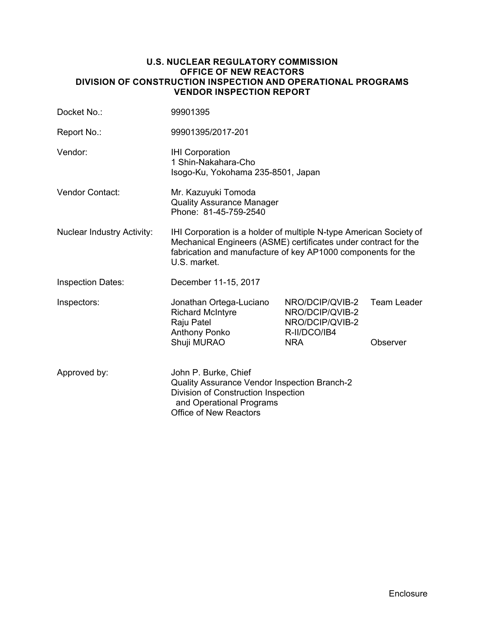### **U.S. NUCLEAR REGULATORY COMMISSION OFFICE OF NEW REACTORS DIVISION OF CONSTRUCTION INSPECTION AND OPERATIONAL PROGRAMS VENDOR INSPECTION REPORT**

| Docket No.:                       | 99901395                                                                                                                                                                                                              |                                                                                     |                                |  |  |
|-----------------------------------|-----------------------------------------------------------------------------------------------------------------------------------------------------------------------------------------------------------------------|-------------------------------------------------------------------------------------|--------------------------------|--|--|
| Report No.:                       | 99901395/2017-201                                                                                                                                                                                                     |                                                                                     |                                |  |  |
| Vendor:                           | <b>IHI Corporation</b><br>1 Shin-Nakahara-Cho<br>Isogo-Ku, Yokohama 235-8501, Japan                                                                                                                                   |                                                                                     |                                |  |  |
| Vendor Contact:                   | Mr. Kazuyuki Tomoda<br><b>Quality Assurance Manager</b><br>Phone: 81-45-759-2540                                                                                                                                      |                                                                                     |                                |  |  |
| <b>Nuclear Industry Activity:</b> | IHI Corporation is a holder of multiple N-type American Society of<br>Mechanical Engineers (ASME) certificates under contract for the<br>fabrication and manufacture of key AP1000 components for the<br>U.S. market. |                                                                                     |                                |  |  |
| <b>Inspection Dates:</b>          | December 11-15, 2017                                                                                                                                                                                                  |                                                                                     |                                |  |  |
| Inspectors:                       | Jonathan Ortega-Luciano<br><b>Richard McIntyre</b><br>Raju Patel<br>Anthony Ponko<br>Shuji MURAO                                                                                                                      | NRO/DCIP/QVIB-2<br>NRO/DCIP/QVIB-2<br>NRO/DCIP/QVIB-2<br>R-II/DCO/IB4<br><b>NRA</b> | <b>Team Leader</b><br>Observer |  |  |
| Approved by:                      | John P. Burke, Chief<br>Quality Assurance Vendor Inspection Branch-2<br>Division of Construction Inspection<br>and Operational Programs<br><b>Office of New Reactors</b>                                              |                                                                                     |                                |  |  |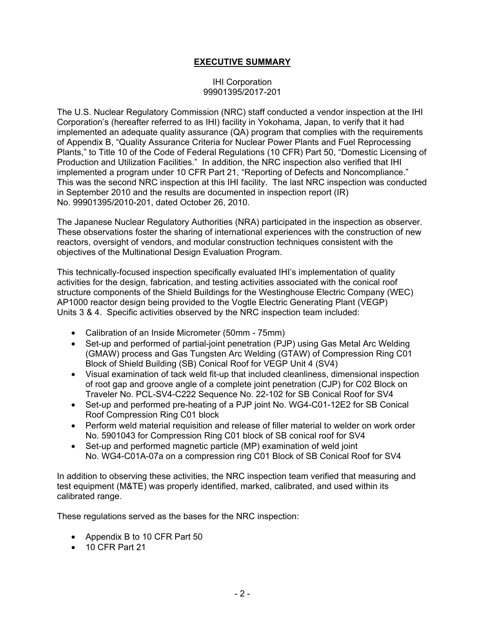## **EXECUTIVE SUMMARY**

### IHI Corporation 99901395/2017-201

The U.S. Nuclear Regulatory Commission (NRC) staff conducted a vendor inspection at the IHI Corporation's (hereafter referred to as IHI) facility in Yokohama, Japan, to verify that it had implemented an adequate quality assurance (QA) program that complies with the requirements of Appendix B, "Quality Assurance Criteria for Nuclear Power Plants and Fuel Reprocessing Plants," to Title 10 of the Code of Federal Regulations (10 CFR) Part 50, "Domestic Licensing of Production and Utilization Facilities." In addition, the NRC inspection also verified that IHI implemented a program under 10 CFR Part 21, "Reporting of Defects and Noncompliance." This was the second NRC inspection at this IHI facility. The last NRC inspection was conducted in September 2010 and the results are documented in inspection report (IR) No. 99901395/2010-201, dated October 26, 2010.

The Japanese Nuclear Regulatory Authorities (NRA) participated in the inspection as observer. These observations foster the sharing of international experiences with the construction of new reactors, oversight of vendors, and modular construction techniques consistent with the objectives of the Multinational Design Evaluation Program.

This technically-focused inspection specifically evaluated IHI's implementation of quality activities for the design, fabrication, and testing activities associated with the conical roof structure components of the Shield Buildings for the Westinghouse Electric Company (WEC) AP1000 reactor design being provided to the Vogtle Electric Generating Plant (VEGP) Units 3 & 4. Specific activities observed by the NRC inspection team included:

- Calibration of an Inside Micrometer (50mm 75mm)
- Set-up and performed of partial-joint penetration (PJP) using Gas Metal Arc Welding (GMAW) process and Gas Tungsten Arc Welding (GTAW) of Compression Ring C01 Block of Shield Building (SB) Conical Roof for VEGP Unit 4 (SV4)
- Visual examination of tack weld fit-up that included cleanliness, dimensional inspection of root gap and groove angle of a complete joint penetration (CJP) for C02 Block on Traveler No. PCL-SV4-C222 Sequence No. 22-102 for SB Conical Roof for SV4
- Set-up and performed pre-heating of a PJP joint No. WG4-C01-12E2 for SB Conical Roof Compression Ring C01 block
- Perform weld material requisition and release of filler material to welder on work order No. 5901043 for Compression Ring C01 block of SB conical roof for SV4
- Set-up and performed magnetic particle (MP) examination of weld joint No. WG4-C01A-07a on a compression ring C01 Block of SB Conical Roof for SV4

In addition to observing these activities, the NRC inspection team verified that measuring and test equipment (M&TE) was properly identified, marked, calibrated, and used within its calibrated range.

These regulations served as the bases for the NRC inspection:

- Appendix B to 10 CFR Part 50
- 10 CFR Part 21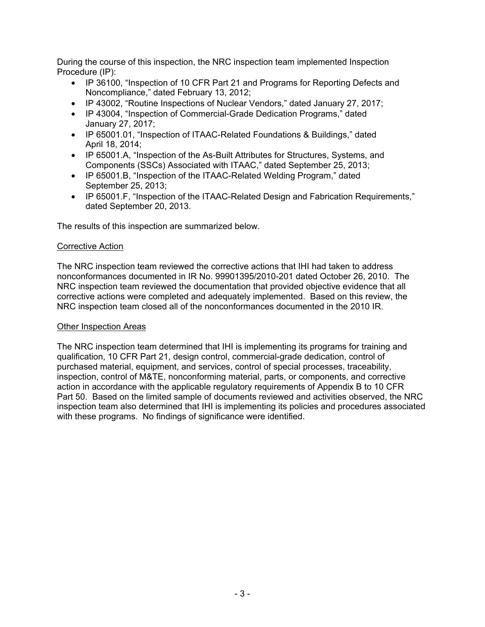During the course of this inspection, the NRC inspection team implemented Inspection Procedure (IP):

- IP 36100, "Inspection of 10 CFR Part 21 and Programs for Reporting Defects and Noncompliance," dated February 13, 2012;
- IP 43002, "Routine Inspections of Nuclear Vendors," dated January 27, 2017;
- IP 43004, "Inspection of Commercial-Grade Dedication Programs," dated January 27, 2017;
- IP 65001.01, "Inspection of ITAAC-Related Foundations & Buildings," dated April 18, 2014;
- IP 65001.A, "Inspection of the As-Built Attributes for Structures, Systems, and Components (SSCs) Associated with ITAAC," dated September 25, 2013;
- IP 65001.B, "Inspection of the ITAAC-Related Welding Program," dated September 25, 2013;
- IP 65001.F, "Inspection of the ITAAC-Related Design and Fabrication Requirements," dated September 20, 2013.

The results of this inspection are summarized below.

## Corrective Action

The NRC inspection team reviewed the corrective actions that IHI had taken to address nonconformances documented in IR No. 99901395/2010-201 dated October 26, 2010. The NRC inspection team reviewed the documentation that provided objective evidence that all corrective actions were completed and adequately implemented. Based on this review, the NRC inspection team closed all of the nonconformances documented in the 2010 IR.

## **Other Inspection Areas**

The NRC inspection team determined that IHI is implementing its programs for training and qualification, 10 CFR Part 21, design control, commercial-grade dedication, control of purchased material, equipment, and services, control of special processes, traceability, inspection, control of M&TE, nonconforming material, parts, or components, and corrective action in accordance with the applicable regulatory requirements of Appendix B to 10 CFR Part 50. Based on the limited sample of documents reviewed and activities observed, the NRC inspection team also determined that IHI is implementing its policies and procedures associated with these programs. No findings of significance were identified.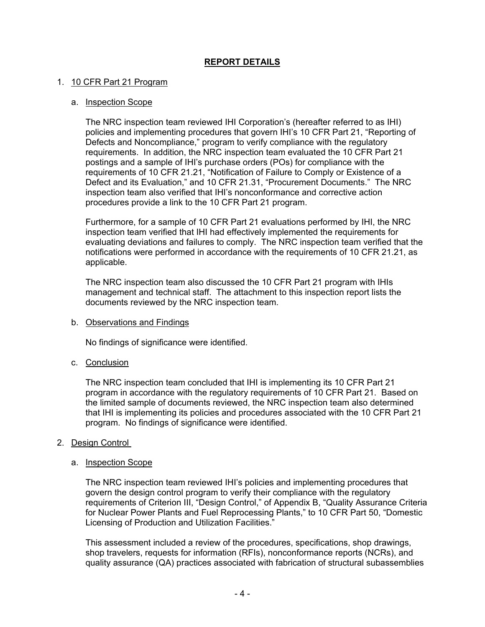## **REPORT DETAILS**

### 1. 10 CFR Part 21 Program

#### a. Inspection Scope

The NRC inspection team reviewed IHI Corporation's (hereafter referred to as IHI) policies and implementing procedures that govern IHI's 10 CFR Part 21, "Reporting of Defects and Noncompliance," program to verify compliance with the regulatory requirements. In addition, the NRC inspection team evaluated the 10 CFR Part 21 postings and a sample of IHI's purchase orders (POs) for compliance with the requirements of 10 CFR 21.21, "Notification of Failure to Comply or Existence of a Defect and its Evaluation," and 10 CFR 21.31, "Procurement Documents." The NRC inspection team also verified that IHI's nonconformance and corrective action procedures provide a link to the 10 CFR Part 21 program.

Furthermore, for a sample of 10 CFR Part 21 evaluations performed by IHI, the NRC inspection team verified that IHI had effectively implemented the requirements for evaluating deviations and failures to comply. The NRC inspection team verified that the notifications were performed in accordance with the requirements of 10 CFR 21.21, as applicable.

The NRC inspection team also discussed the 10 CFR Part 21 program with IHIs management and technical staff. The attachment to this inspection report lists the documents reviewed by the NRC inspection team.

#### b. Observations and Findings

No findings of significance were identified.

#### c. Conclusion

The NRC inspection team concluded that IHI is implementing its 10 CFR Part 21 program in accordance with the regulatory requirements of 10 CFR Part 21. Based on the limited sample of documents reviewed, the NRC inspection team also determined that IHI is implementing its policies and procedures associated with the 10 CFR Part 21 program. No findings of significance were identified.

#### 2. Design Control

#### a. Inspection Scope

The NRC inspection team reviewed IHI's policies and implementing procedures that govern the design control program to verify their compliance with the regulatory requirements of Criterion III, "Design Control," of Appendix B, "Quality Assurance Criteria for Nuclear Power Plants and Fuel Reprocessing Plants," to 10 CFR Part 50, "Domestic Licensing of Production and Utilization Facilities."

This assessment included a review of the procedures, specifications, shop drawings, shop travelers, requests for information (RFIs), nonconformance reports (NCRs), and quality assurance (QA) practices associated with fabrication of structural subassemblies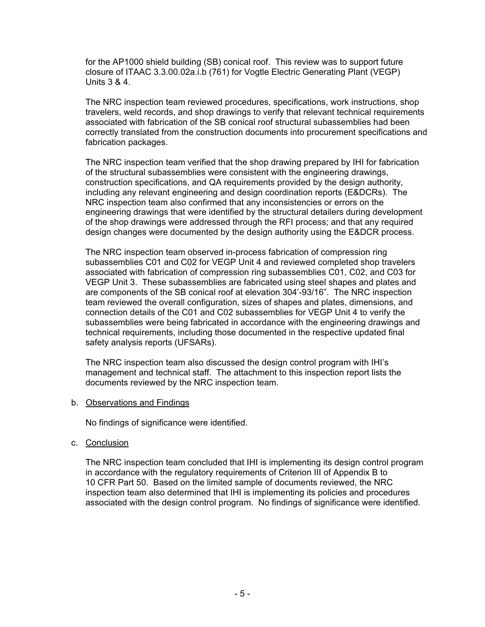for the AP1000 shield building (SB) conical roof. This review was to support future closure of ITAAC 3.3.00.02a.i.b (761) for Vogtle Electric Generating Plant (VEGP) Units 3 & 4.

The NRC inspection team reviewed procedures, specifications, work instructions, shop travelers, weld records, and shop drawings to verify that relevant technical requirements associated with fabrication of the SB conical roof structural subassemblies had been correctly translated from the construction documents into procurement specifications and fabrication packages.

The NRC inspection team verified that the shop drawing prepared by IHI for fabrication of the structural subassemblies were consistent with the engineering drawings, construction specifications, and QA requirements provided by the design authority, including any relevant engineering and design coordination reports (E&DCRs). The NRC inspection team also confirmed that any inconsistencies or errors on the engineering drawings that were identified by the structural detailers during development of the shop drawings were addressed through the RFI process; and that any required design changes were documented by the design authority using the E&DCR process.

The NRC inspection team observed in-process fabrication of compression ring subassemblies C01 and C02 for VEGP Unit 4 and reviewed completed shop travelers associated with fabrication of compression ring subassemblies C01, C02, and C03 for VEGP Unit 3. These subassemblies are fabricated using steel shapes and plates and are components of the SB conical roof at elevation 304'-93/16". The NRC inspection team reviewed the overall configuration, sizes of shapes and plates, dimensions, and connection details of the C01 and C02 subassemblies for VEGP Unit 4 to verify the subassemblies were being fabricated in accordance with the engineering drawings and technical requirements, including those documented in the respective updated final safety analysis reports (UFSARs).

The NRC inspection team also discussed the design control program with IHI's management and technical staff. The attachment to this inspection report lists the documents reviewed by the NRC inspection team.

## b. Observations and Findings

No findings of significance were identified.

c. Conclusion

The NRC inspection team concluded that IHI is implementing its design control program in accordance with the regulatory requirements of Criterion III of Appendix B to 10 CFR Part 50. Based on the limited sample of documents reviewed, the NRC inspection team also determined that IHI is implementing its policies and procedures associated with the design control program. No findings of significance were identified.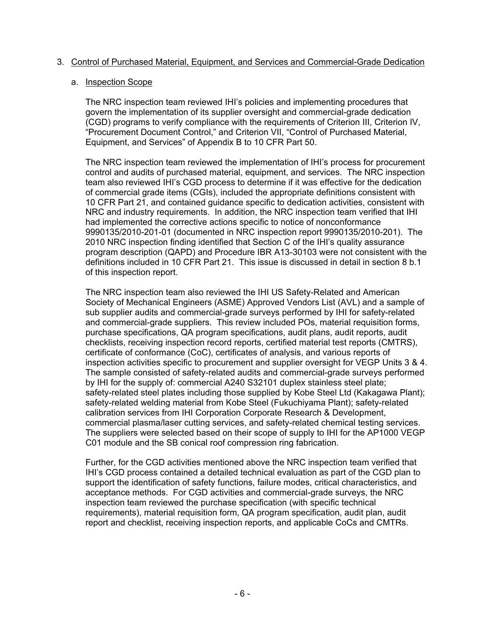## 3. Control of Purchased Material, Equipment, and Services and Commercial-Grade Dedication

### a. Inspection Scope

The NRC inspection team reviewed IHI's policies and implementing procedures that govern the implementation of its supplier oversight and commercial-grade dedication (CGD) programs to verify compliance with the requirements of Criterion III, Criterion IV, "Procurement Document Control," and Criterion VII, "Control of Purchased Material, Equipment, and Services" of Appendix B to 10 CFR Part 50.

The NRC inspection team reviewed the implementation of IHI's process for procurement control and audits of purchased material, equipment, and services. The NRC inspection team also reviewed IHI's CGD process to determine if it was effective for the dedication of commercial grade items (CGIs), included the appropriate definitions consistent with 10 CFR Part 21, and contained guidance specific to dedication activities, consistent with NRC and industry requirements. In addition, the NRC inspection team verified that IHI had implemented the corrective actions specific to notice of nonconformance 9990135/2010-201-01 (documented in NRC inspection report 9990135/2010-201). The 2010 NRC inspection finding identified that Section C of the IHI's quality assurance program description (QAPD) and Procedure IBR A13-30103 were not consistent with the definitions included in 10 CFR Part 21. This issue is discussed in detail in section 8 b.1 of this inspection report.

The NRC inspection team also reviewed the IHI US Safety-Related and American Society of Mechanical Engineers (ASME) Approved Vendors List (AVL) and a sample of sub supplier audits and commercial-grade surveys performed by IHI for safety-related and commercial-grade suppliers. This review included POs, material requisition forms, purchase specifications, QA program specifications, audit plans, audit reports, audit checklists, receiving inspection record reports, certified material test reports (CMTRS), certificate of conformance (CoC), certificates of analysis, and various reports of inspection activities specific to procurement and supplier oversight for VEGP Units 3 & 4. The sample consisted of safety-related audits and commercial-grade surveys performed by IHI for the supply of: commercial A240 S32101 duplex stainless steel plate; safety-related steel plates including those supplied by Kobe Steel Ltd (Kakagawa Plant); safety-related welding material from Kobe Steel (Fukuchiyama Plant); safety-related calibration services from IHI Corporation Corporate Research & Development, commercial plasma/laser cutting services, and safety-related chemical testing services. The suppliers were selected based on their scope of supply to IHI for the AP1000 VEGP C01 module and the SB conical roof compression ring fabrication.

Further, for the CGD activities mentioned above the NRC inspection team verified that IHI's CGD process contained a detailed technical evaluation as part of the CGD plan to support the identification of safety functions, failure modes, critical characteristics, and acceptance methods. For CGD activities and commercial-grade surveys, the NRC inspection team reviewed the purchase specification (with specific technical requirements), material requisition form, QA program specification, audit plan, audit report and checklist, receiving inspection reports, and applicable CoCs and CMTRs.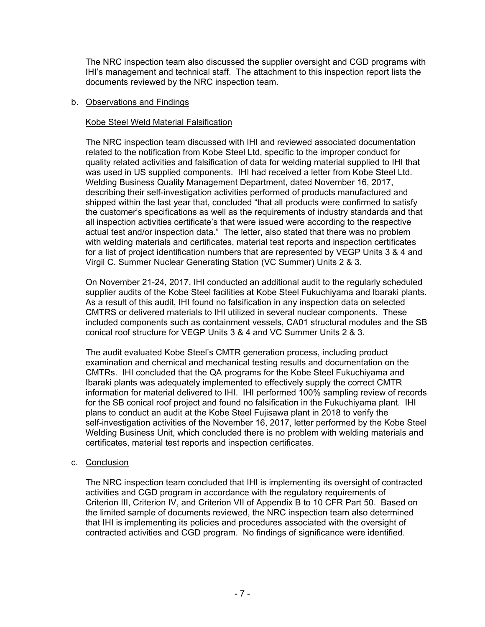The NRC inspection team also discussed the supplier oversight and CGD programs with IHI's management and technical staff. The attachment to this inspection report lists the documents reviewed by the NRC inspection team.

## b. Observations and Findings

## Kobe Steel Weld Material Falsification

The NRC inspection team discussed with IHI and reviewed associated documentation related to the notification from Kobe Steel Ltd, specific to the improper conduct for quality related activities and falsification of data for welding material supplied to IHI that was used in US supplied components. IHI had received a letter from Kobe Steel Ltd. Welding Business Quality Management Department, dated November 16, 2017, describing their self-investigation activities performed of products manufactured and shipped within the last year that, concluded "that all products were confirmed to satisfy the customer's specifications as well as the requirements of industry standards and that all inspection activities certificate's that were issued were according to the respective actual test and/or inspection data." The letter, also stated that there was no problem with welding materials and certificates, material test reports and inspection certificates for a list of project identification numbers that are represented by VEGP Units 3 & 4 and Virgil C. Summer Nuclear Generating Station (VC Summer) Units 2 & 3.

On November 21-24, 2017, IHI conducted an additional audit to the regularly scheduled supplier audits of the Kobe Steel facilities at Kobe Steel Fukuchiyama and Ibaraki plants. As a result of this audit, IHI found no falsification in any inspection data on selected CMTRS or delivered materials to IHI utilized in several nuclear components. These included components such as containment vessels, CA01 structural modules and the SB conical roof structure for VEGP Units 3 & 4 and VC Summer Units 2 & 3.

The audit evaluated Kobe Steel's CMTR generation process, including product examination and chemical and mechanical testing results and documentation on the CMTRs. IHI concluded that the QA programs for the Kobe Steel Fukuchiyama and Ibaraki plants was adequately implemented to effectively supply the correct CMTR information for material delivered to IHI. IHI performed 100% sampling review of records for the SB conical roof project and found no falsification in the Fukuchiyama plant. IHI plans to conduct an audit at the Kobe Steel Fujisawa plant in 2018 to verify the self-investigation activities of the November 16, 2017, letter performed by the Kobe Steel Welding Business Unit, which concluded there is no problem with welding materials and certificates, material test reports and inspection certificates.

## c. Conclusion

The NRC inspection team concluded that IHI is implementing its oversight of contracted activities and CGD program in accordance with the regulatory requirements of Criterion III, Criterion IV, and Criterion VII of Appendix B to 10 CFR Part 50. Based on the limited sample of documents reviewed, the NRC inspection team also determined that IHI is implementing its policies and procedures associated with the oversight of contracted activities and CGD program. No findings of significance were identified.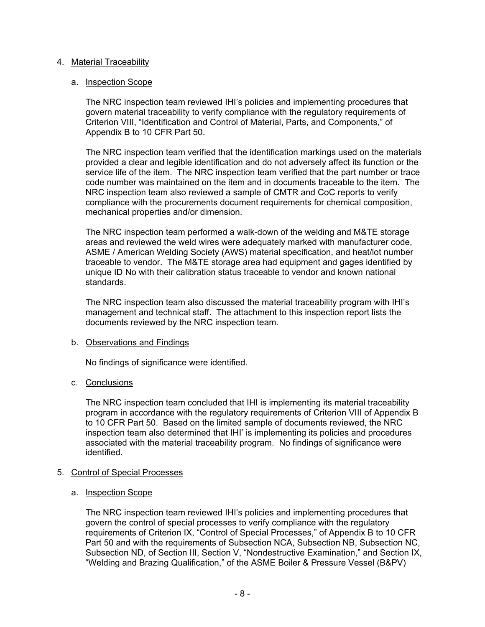## 4. Material Traceability

### a. Inspection Scope

The NRC inspection team reviewed IHI's policies and implementing procedures that govern material traceability to verify compliance with the regulatory requirements of Criterion VIII, "Identification and Control of Material, Parts, and Components," of Appendix B to 10 CFR Part 50.

The NRC inspection team verified that the identification markings used on the materials provided a clear and legible identification and do not adversely affect its function or the service life of the item. The NRC inspection team verified that the part number or trace code number was maintained on the item and in documents traceable to the item. The NRC inspection team also reviewed a sample of CMTR and CoC reports to verify compliance with the procurements document requirements for chemical composition, mechanical properties and/or dimension.

The NRC inspection team performed a walk-down of the welding and M&TE storage areas and reviewed the weld wires were adequately marked with manufacturer code, ASME / American Welding Society (AWS) material specification, and heat/lot number traceable to vendor. The M&TE storage area had equipment and gages identified by unique ID No with their calibration status traceable to vendor and known national standards.

The NRC inspection team also discussed the material traceability program with IHI's management and technical staff. The attachment to this inspection report lists the documents reviewed by the NRC inspection team.

## b. Observations and Findings

No findings of significance were identified.

## c. Conclusions

The NRC inspection team concluded that IHI is implementing its material traceability program in accordance with the regulatory requirements of Criterion VIII of Appendix B to 10 CFR Part 50. Based on the limited sample of documents reviewed, the NRC inspection team also determined that IHI' is implementing its policies and procedures associated with the material traceability program. No findings of significance were identified.

#### 5. Control of Special Processes

## a. Inspection Scope

The NRC inspection team reviewed IHI's policies and implementing procedures that govern the control of special processes to verify compliance with the regulatory requirements of Criterion IX, "Control of Special Processes," of Appendix B to 10 CFR Part 50 and with the requirements of Subsection NCA, Subsection NB, Subsection NC, Subsection ND, of Section III, Section V, "Nondestructive Examination," and Section IX, "Welding and Brazing Qualification," of the ASME Boiler & Pressure Vessel (B&PV)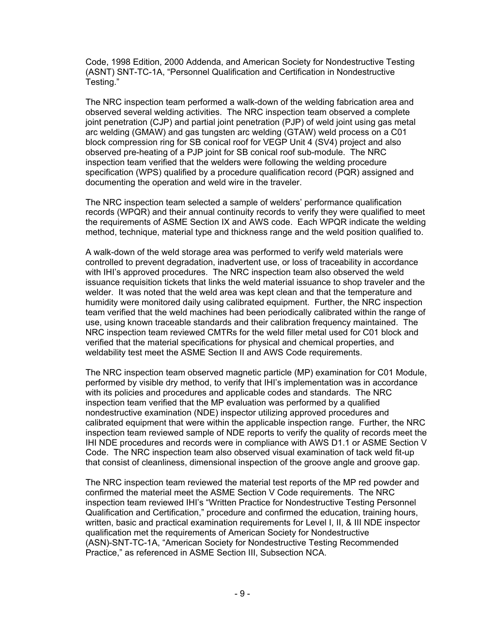Code, 1998 Edition, 2000 Addenda, and American Society for Nondestructive Testing (ASNT) SNT-TC-1A, "Personnel Qualification and Certification in Nondestructive Testing."

The NRC inspection team performed a walk-down of the welding fabrication area and observed several welding activities. The NRC inspection team observed a complete joint penetration (CJP) and partial joint penetration (PJP) of weld joint using gas metal arc welding (GMAW) and gas tungsten arc welding (GTAW) weld process on a C01 block compression ring for SB conical roof for VEGP Unit 4 (SV4) project and also observed pre-heating of a PJP joint for SB conical roof sub-module. The NRC inspection team verified that the welders were following the welding procedure specification (WPS) qualified by a procedure qualification record (PQR) assigned and documenting the operation and weld wire in the traveler.

The NRC inspection team selected a sample of welders' performance qualification records (WPQR) and their annual continuity records to verify they were qualified to meet the requirements of ASME Section IX and AWS code. Each WPQR indicate the welding method, technique, material type and thickness range and the weld position qualified to.

A walk-down of the weld storage area was performed to verify weld materials were controlled to prevent degradation, inadvertent use, or loss of traceability in accordance with IHI's approved procedures. The NRC inspection team also observed the weld issuance requisition tickets that links the weld material issuance to shop traveler and the welder. It was noted that the weld area was kept clean and that the temperature and humidity were monitored daily using calibrated equipment. Further, the NRC inspection team verified that the weld machines had been periodically calibrated within the range of use, using known traceable standards and their calibration frequency maintained. The NRC inspection team reviewed CMTRs for the weld filler metal used for C01 block and verified that the material specifications for physical and chemical properties, and weldability test meet the ASME Section II and AWS Code requirements.

The NRC inspection team observed magnetic particle (MP) examination for C01 Module, performed by visible dry method, to verify that IHI's implementation was in accordance with its policies and procedures and applicable codes and standards. The NRC inspection team verified that the MP evaluation was performed by a qualified nondestructive examination (NDE) inspector utilizing approved procedures and calibrated equipment that were within the applicable inspection range. Further, the NRC inspection team reviewed sample of NDE reports to verify the quality of records meet the IHI NDE procedures and records were in compliance with AWS D1.1 or ASME Section V Code. The NRC inspection team also observed visual examination of tack weld fit-up that consist of cleanliness, dimensional inspection of the groove angle and groove gap.

The NRC inspection team reviewed the material test reports of the MP red powder and confirmed the material meet the ASME Section V Code requirements. The NRC inspection team reviewed IHI's "Written Practice for Nondestructive Testing Personnel Qualification and Certification," procedure and confirmed the education, training hours, written, basic and practical examination requirements for Level I, II, & III NDE inspector qualification met the requirements of American Society for Nondestructive (ASN)-SNT-TC-1A, "American Society for Nondestructive Testing Recommended Practice," as referenced in ASME Section III, Subsection NCA.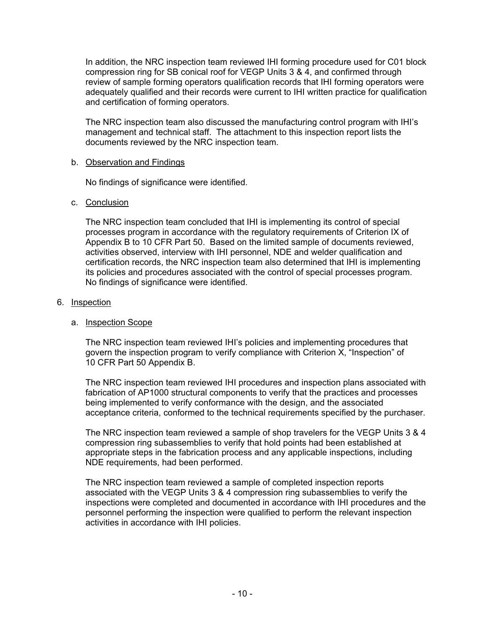In addition, the NRC inspection team reviewed IHI forming procedure used for C01 block compression ring for SB conical roof for VEGP Units 3 & 4, and confirmed through review of sample forming operators qualification records that IHI forming operators were adequately qualified and their records were current to IHI written practice for qualification and certification of forming operators.

The NRC inspection team also discussed the manufacturing control program with IHI's management and technical staff. The attachment to this inspection report lists the documents reviewed by the NRC inspection team.

### b. Observation and Findings

No findings of significance were identified.

### c. Conclusion

The NRC inspection team concluded that IHI is implementing its control of special processes program in accordance with the regulatory requirements of Criterion IX of Appendix B to 10 CFR Part 50. Based on the limited sample of documents reviewed, activities observed, interview with IHI personnel, NDE and welder qualification and certification records, the NRC inspection team also determined that IHI is implementing its policies and procedures associated with the control of special processes program. No findings of significance were identified.

### 6. Inspection

## a. Inspection Scope

The NRC inspection team reviewed IHI's policies and implementing procedures that govern the inspection program to verify compliance with Criterion X, "Inspection" of 10 CFR Part 50 Appendix B.

The NRC inspection team reviewed IHI procedures and inspection plans associated with fabrication of AP1000 structural components to verify that the practices and processes being implemented to verify conformance with the design, and the associated acceptance criteria, conformed to the technical requirements specified by the purchaser.

The NRC inspection team reviewed a sample of shop travelers for the VEGP Units 3 & 4 compression ring subassemblies to verify that hold points had been established at appropriate steps in the fabrication process and any applicable inspections, including NDE requirements, had been performed.

The NRC inspection team reviewed a sample of completed inspection reports associated with the VEGP Units 3 & 4 compression ring subassemblies to verify the inspections were completed and documented in accordance with IHI procedures and the personnel performing the inspection were qualified to perform the relevant inspection activities in accordance with IHI policies.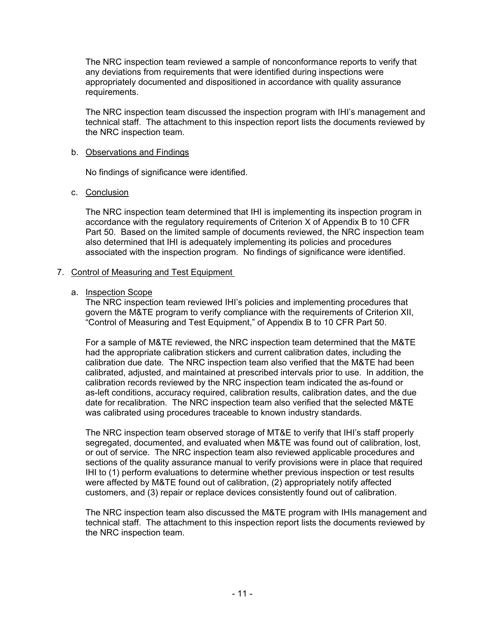The NRC inspection team reviewed a sample of nonconformance reports to verify that any deviations from requirements that were identified during inspections were appropriately documented and dispositioned in accordance with quality assurance requirements.

The NRC inspection team discussed the inspection program with IHI's management and technical staff. The attachment to this inspection report lists the documents reviewed by the NRC inspection team.

## b. Observations and Findings

No findings of significance were identified.

### c. Conclusion

The NRC inspection team determined that IHI is implementing its inspection program in accordance with the regulatory requirements of Criterion X of Appendix B to 10 CFR Part 50. Based on the limited sample of documents reviewed, the NRC inspection team also determined that IHI is adequately implementing its policies and procedures associated with the inspection program. No findings of significance were identified.

## 7. Control of Measuring and Test Equipment

### a. Inspection Scope

The NRC inspection team reviewed IHI's policies and implementing procedures that govern the M&TE program to verify compliance with the requirements of Criterion XII, "Control of Measuring and Test Equipment," of Appendix B to 10 CFR Part 50.

For a sample of M&TE reviewed, the NRC inspection team determined that the M&TE had the appropriate calibration stickers and current calibration dates, including the calibration due date. The NRC inspection team also verified that the M&TE had been calibrated, adjusted, and maintained at prescribed intervals prior to use. In addition, the calibration records reviewed by the NRC inspection team indicated the as-found or as-left conditions, accuracy required, calibration results, calibration dates, and the due date for recalibration. The NRC inspection team also verified that the selected M&TE was calibrated using procedures traceable to known industry standards.

The NRC inspection team observed storage of MT&E to verify that IHI's staff properly segregated, documented, and evaluated when M&TE was found out of calibration, lost, or out of service. The NRC inspection team also reviewed applicable procedures and sections of the quality assurance manual to verify provisions were in place that required IHI to (1) perform evaluations to determine whether previous inspection or test results were affected by M&TE found out of calibration, (2) appropriately notify affected customers, and (3) repair or replace devices consistently found out of calibration.

The NRC inspection team also discussed the M&TE program with IHIs management and technical staff. The attachment to this inspection report lists the documents reviewed by the NRC inspection team.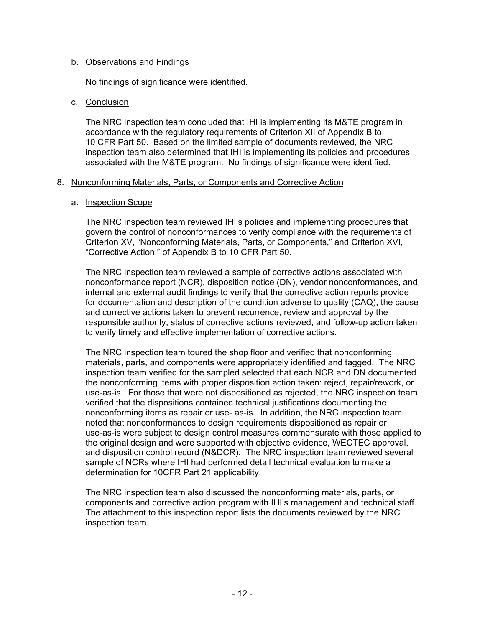## b. Observations and Findings

No findings of significance were identified.

### c. Conclusion

The NRC inspection team concluded that IHI is implementing its M&TE program in accordance with the regulatory requirements of Criterion XII of Appendix B to 10 CFR Part 50. Based on the limited sample of documents reviewed, the NRC inspection team also determined that IHI is implementing its policies and procedures associated with the M&TE program. No findings of significance were identified.

### 8. Nonconforming Materials, Parts, or Components and Corrective Action

### a. Inspection Scope

The NRC inspection team reviewed IHI's policies and implementing procedures that govern the control of nonconformances to verify compliance with the requirements of Criterion XV, "Nonconforming Materials, Parts, or Components," and Criterion XVI, "Corrective Action," of Appendix B to 10 CFR Part 50.

The NRC inspection team reviewed a sample of corrective actions associated with nonconformance report (NCR), disposition notice (DN), vendor nonconformances, and internal and external audit findings to verify that the corrective action reports provide for documentation and description of the condition adverse to quality (CAQ), the cause and corrective actions taken to prevent recurrence, review and approval by the responsible authority, status of corrective actions reviewed, and follow-up action taken to verify timely and effective implementation of corrective actions.

The NRC inspection team toured the shop floor and verified that nonconforming materials, parts, and components were appropriately identified and tagged. The NRC inspection team verified for the sampled selected that each NCR and DN documented the nonconforming items with proper disposition action taken: reject, repair/rework, or use-as-is. For those that were not dispositioned as rejected, the NRC inspection team verified that the dispositions contained technical justifications documenting the nonconforming items as repair or use- as-is. In addition, the NRC inspection team noted that nonconformances to design requirements dispositioned as repair or use-as-is were subject to design control measures commensurate with those applied to the original design and were supported with objective evidence, WECTEC approval, and disposition control record (N&DCR). The NRC inspection team reviewed several sample of NCRs where IHI had performed detail technical evaluation to make a determination for 10CFR Part 21 applicability.

The NRC inspection team also discussed the nonconforming materials, parts, or components and corrective action program with IHI's management and technical staff. The attachment to this inspection report lists the documents reviewed by the NRC inspection team.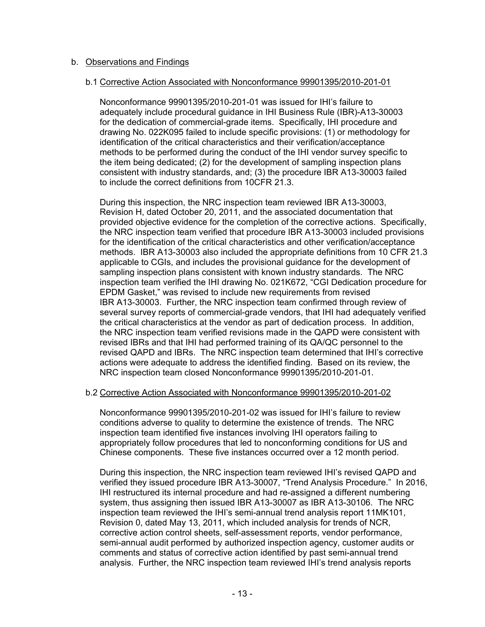## b. Observations and Findings

#### b.1 Corrective Action Associated with Nonconformance 99901395/2010-201-01

Nonconformance 99901395/2010-201-01 was issued for IHI's failure to adequately include procedural guidance in IHI Business Rule (IBR)-A13-30003 for the dedication of commercial-grade items. Specifically, IHI procedure and drawing No. 022K095 failed to include specific provisions: (1) or methodology for identification of the critical characteristics and their verification/acceptance methods to be performed during the conduct of the IHI vendor survey specific to the item being dedicated; (2) for the development of sampling inspection plans consistent with industry standards, and; (3) the procedure IBR A13-30003 failed to include the correct definitions from 10CFR 21.3.

During this inspection, the NRC inspection team reviewed IBR A13-30003, Revision H, dated October 20, 2011, and the associated documentation that provided objective evidence for the completion of the corrective actions. Specifically, the NRC inspection team verified that procedure IBR A13-30003 included provisions for the identification of the critical characteristics and other verification/acceptance methods. IBR A13-30003 also included the appropriate definitions from 10 CFR 21.3 applicable to CGIs, and includes the provisional guidance for the development of sampling inspection plans consistent with known industry standards. The NRC inspection team verified the IHI drawing No. 021K672, "CGI Dedication procedure for EPDM Gasket," was revised to include new requirements from revised IBR A13-30003. Further, the NRC inspection team confirmed through review of several survey reports of commercial-grade vendors, that IHI had adequately verified the critical characteristics at the vendor as part of dedication process. In addition, the NRC inspection team verified revisions made in the QAPD were consistent with revised IBRs and that IHI had performed training of its QA/QC personnel to the revised QAPD and IBRs. The NRC inspection team determined that IHI's corrective actions were adequate to address the identified finding. Based on its review, the NRC inspection team closed Nonconformance 99901395/2010-201-01.

## b.2 Corrective Action Associated with Nonconformance 99901395/2010-201-02

Nonconformance 99901395/2010-201-02 was issued for IHI's failure to review conditions adverse to quality to determine the existence of trends. The NRC inspection team identified five instances involving IHI operators failing to appropriately follow procedures that led to nonconforming conditions for US and Chinese components. These five instances occurred over a 12 month period.

During this inspection, the NRC inspection team reviewed IHI's revised QAPD and verified they issued procedure IBR A13-30007, "Trend Analysis Procedure." In 2016, IHI restructured its internal procedure and had re-assigned a different numbering system, thus assigning then issued IBR A13-30007 as IBR A13-30106. The NRC inspection team reviewed the IHI's semi-annual trend analysis report 11MK101, Revision 0, dated May 13, 2011, which included analysis for trends of NCR, corrective action control sheets, self-assessment reports, vendor performance, semi-annual audit performed by authorized inspection agency, customer audits or comments and status of corrective action identified by past semi-annual trend analysis. Further, the NRC inspection team reviewed IHI's trend analysis reports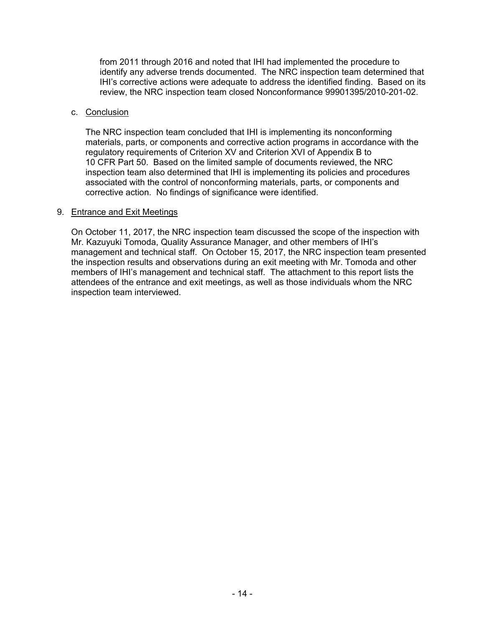from 2011 through 2016 and noted that IHI had implemented the procedure to identify any adverse trends documented. The NRC inspection team determined that IHI's corrective actions were adequate to address the identified finding. Based on its review, the NRC inspection team closed Nonconformance 99901395/2010-201-02.

#### c. Conclusion

The NRC inspection team concluded that IHI is implementing its nonconforming materials, parts, or components and corrective action programs in accordance with the regulatory requirements of Criterion XV and Criterion XVI of Appendix B to 10 CFR Part 50. Based on the limited sample of documents reviewed, the NRC inspection team also determined that IHI is implementing its policies and procedures associated with the control of nonconforming materials, parts, or components and corrective action. No findings of significance were identified.

### 9. Entrance and Exit Meetings

On October 11, 2017, the NRC inspection team discussed the scope of the inspection with Mr. Kazuyuki Tomoda, Quality Assurance Manager, and other members of IHI's management and technical staff. On October 15, 2017, the NRC inspection team presented the inspection results and observations during an exit meeting with Mr. Tomoda and other members of IHI's management and technical staff. The attachment to this report lists the attendees of the entrance and exit meetings, as well as those individuals whom the NRC inspection team interviewed.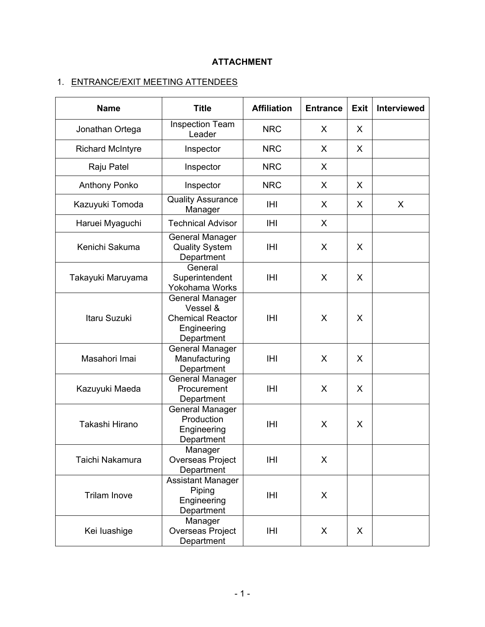# **ATTACHMENT**

# 1. ENTRANCE/EXIT MEETING ATTENDEES

| <b>Name</b>             | <b>Title</b>                                                                        | <b>Affiliation</b> | <b>Entrance</b> | <b>Exit</b> | <b>Interviewed</b> |
|-------------------------|-------------------------------------------------------------------------------------|--------------------|-----------------|-------------|--------------------|
| Jonathan Ortega         | Inspection Team<br>Leader                                                           | <b>NRC</b>         | X               | X           |                    |
| <b>Richard McIntyre</b> | Inspector                                                                           | <b>NRC</b>         | X               | X           |                    |
| Raju Patel              | Inspector                                                                           | <b>NRC</b>         | X               |             |                    |
| <b>Anthony Ponko</b>    | Inspector                                                                           | <b>NRC</b>         | X               | X           |                    |
| Kazuyuki Tomoda         | <b>Quality Assurance</b><br>Manager                                                 | IHI                | X               | X           | X                  |
| Haruei Myaguchi         | <b>Technical Advisor</b>                                                            | IHI                | X               |             |                    |
| Kenichi Sakuma          | <b>General Manager</b><br><b>Quality System</b><br>Department                       | IHI                | X               | X           |                    |
| Takayuki Maruyama       | General<br>Superintendent<br>Yokohama Works                                         | <b>IHI</b>         | X               | X           |                    |
| Itaru Suzuki            | General Manager<br>Vessel &<br><b>Chemical Reactor</b><br>Engineering<br>Department | <b>IHI</b>         | X               | X           |                    |
| Masahori Imai           | <b>General Manager</b><br>Manufacturing<br>Department                               | <b>IHI</b>         | X               | X           |                    |
| Kazuyuki Maeda          | <b>General Manager</b><br>Procurement<br>Department                                 | <b>IHI</b>         | X               | X           |                    |
| Takashi Hirano          | <b>General Manager</b><br>Production<br>Engineering<br>Department                   | <b>IHI</b>         | X               | X           |                    |
| Taichi Nakamura         | Manager<br>Overseas Project<br>Department                                           | IHI                | X               |             |                    |
| <b>Trilam Inove</b>     | <b>Assistant Manager</b><br>Piping<br>Engineering<br>Department                     | <b>IHI</b>         | X               |             |                    |
| Kei luashige            | Manager<br>Overseas Project<br>Department                                           | <b>IHI</b>         | X               | X           |                    |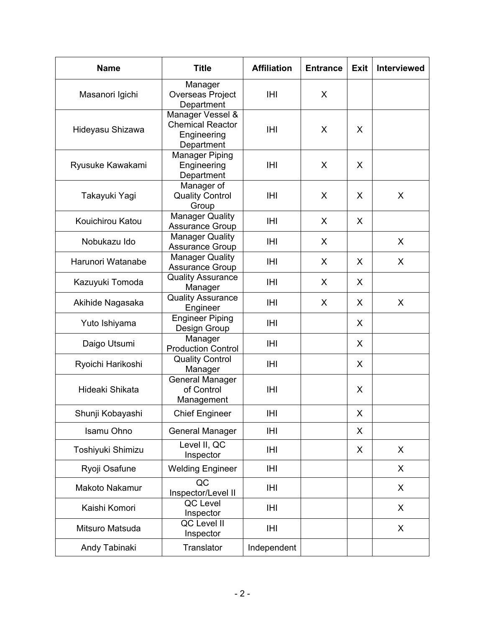| <b>Name</b>       | <b>Title</b>                                                             | <b>Affiliation</b> | <b>Entrance</b> | Exit        | <b>Interviewed</b> |
|-------------------|--------------------------------------------------------------------------|--------------------|-----------------|-------------|--------------------|
| Masanori Igichi   | Manager<br>Overseas Project<br>Department                                | IHI                | X               |             |                    |
| Hideyasu Shizawa  | Manager Vessel &<br><b>Chemical Reactor</b><br>Engineering<br>Department | <b>IHI</b>         | X               | X           |                    |
| Ryusuke Kawakami  | <b>Manager Piping</b><br>Engineering<br>Department                       | <b>IHI</b>         | X               | X           |                    |
| Takayuki Yagi     | Manager of<br><b>Quality Control</b><br>Group                            | IHI                | X               | X           | X                  |
| Kouichirou Katou  | <b>Manager Quality</b><br><b>Assurance Group</b>                         | <b>IHI</b>         | X               | X           |                    |
| Nobukazu Ido      | <b>Manager Quality</b><br>Assurance Group                                | <b>IHI</b>         | X               |             | X                  |
| Harunori Watanabe | <b>Manager Quality</b><br>Assurance Group                                | IHI                | X               | X           | X                  |
| Kazuyuki Tomoda   | <b>Quality Assurance</b><br>Manager                                      | IHI                | X               | X           |                    |
| Akihide Nagasaka  | <b>Quality Assurance</b><br>Engineer                                     | <b>IHI</b>         | X               | X           | X                  |
| Yuto Ishiyama     | <b>Engineer Piping</b><br>Design Group                                   | IHI                |                 | X           |                    |
| Daigo Utsumi      | Manager<br><b>Production Control</b>                                     | IHI                |                 | X           |                    |
| Ryoichi Harikoshi | <b>Quality Control</b><br>Manager                                        | <b>IHI</b>         |                 | X           |                    |
| Hideaki Shikata   | <b>General Manager</b><br>of Control<br>Management                       | <b>IHI</b>         |                 | X           |                    |
| Shunji Kobayashi  | <b>Chief Engineer</b>                                                    | <b>IHI</b>         |                 | $\mathsf X$ |                    |
| Isamu Ohno        | <b>General Manager</b>                                                   | <b>IHI</b>         |                 | X           |                    |
| Toshiyuki Shimizu | Level II, QC<br>Inspector                                                | IHI                |                 | X           | X                  |
| Ryoji Osafune     | <b>Welding Engineer</b>                                                  | <b>IHI</b>         |                 |             | X                  |
| Makoto Nakamur    | QC<br>Inspector/Level II                                                 | IHI                |                 |             | X                  |
| Kaishi Komori     | QC Level<br>Inspector                                                    | IHI                |                 |             | X                  |
| Mitsuro Matsuda   | QC Level II<br>Inspector                                                 | IHI                |                 |             | X                  |
| Andy Tabinaki     | Translator                                                               | Independent        |                 |             |                    |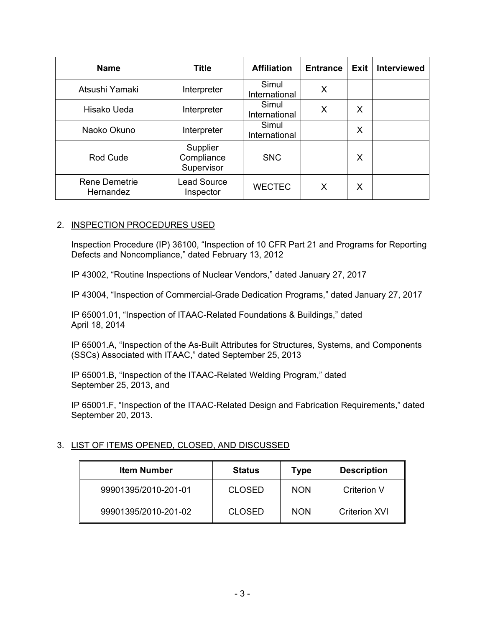| <b>Name</b>                       | <b>Title</b>                         | <b>Affiliation</b>     | <b>Entrance</b> | Exit | <b>Interviewed</b> |
|-----------------------------------|--------------------------------------|------------------------|-----------------|------|--------------------|
| Atsushi Yamaki                    | Interpreter                          | Simul<br>International | X               |      |                    |
| Hisako Ueda                       | Interpreter                          | Simul<br>International | X               | X    |                    |
| Naoko Okuno                       | Interpreter                          | Simul<br>International |                 | X    |                    |
| Rod Cude                          | Supplier<br>Compliance<br>Supervisor | <b>SNC</b>             |                 | X    |                    |
| <b>Rene Demetrie</b><br>Hernandez | <b>Lead Source</b><br>Inspector      | <b>WECTEC</b>          | X               | X    |                    |

## 2. INSPECTION PROCEDURES USED

Inspection Procedure (IP) 36100, "Inspection of 10 CFR Part 21 and Programs for Reporting Defects and Noncompliance," dated February 13, 2012

IP 43002, "Routine Inspections of Nuclear Vendors," dated January 27, 2017

IP 43004, "Inspection of Commercial-Grade Dedication Programs," dated January 27, 2017

IP 65001.01, "Inspection of ITAAC-Related Foundations & Buildings," dated April 18, 2014

IP 65001.A, "Inspection of the As-Built Attributes for Structures, Systems, and Components (SSCs) Associated with ITAAC," dated September 25, 2013

IP 65001.B, "Inspection of the ITAAC-Related Welding Program," dated September 25, 2013, and

IP 65001.F, "Inspection of the ITAAC-Related Design and Fabrication Requirements," dated September 20, 2013.

## 3. LIST OF ITEMS OPENED, CLOSED, AND DISCUSSED

| <b>Item Number</b>   | <b>Status</b> | Type       | <b>Description</b>   |
|----------------------|---------------|------------|----------------------|
| 99901395/2010-201-01 | <b>CLOSED</b> | <b>NON</b> | Criterion V          |
| 99901395/2010-201-02 | <b>CLOSED</b> | <b>NON</b> | <b>Criterion XVI</b> |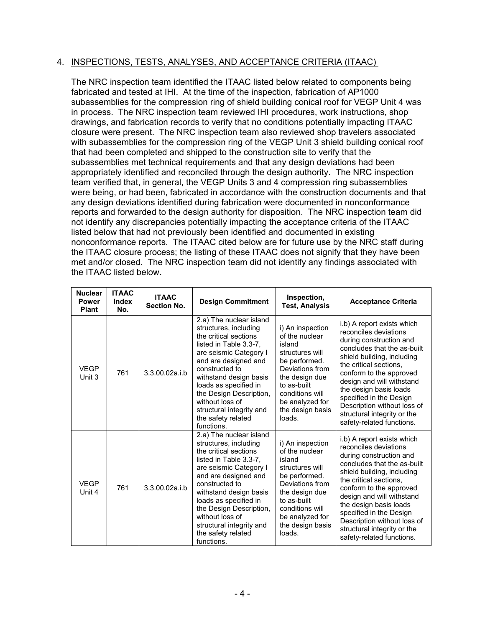## 4. INSPECTIONS, TESTS, ANALYSES, AND ACCEPTANCE CRITERIA (ITAAC)

The NRC inspection team identified the ITAAC listed below related to components being fabricated and tested at IHI. At the time of the inspection, fabrication of AP1000 subassemblies for the compression ring of shield building conical roof for VEGP Unit 4 was in process. The NRC inspection team reviewed IHI procedures, work instructions, shop drawings, and fabrication records to verify that no conditions potentially impacting ITAAC closure were present. The NRC inspection team also reviewed shop travelers associated with subassemblies for the compression ring of the VEGP Unit 3 shield building conical roof that had been completed and shipped to the construction site to verify that the subassemblies met technical requirements and that any design deviations had been appropriately identified and reconciled through the design authority. The NRC inspection team verified that, in general, the VEGP Units 3 and 4 compression ring subassemblies were being, or had been, fabricated in accordance with the construction documents and that any design deviations identified during fabrication were documented in nonconformance reports and forwarded to the design authority for disposition. The NRC inspection team did not identify any discrepancies potentially impacting the acceptance criteria of the ITAAC listed below that had not previously been identified and documented in existing nonconformance reports. The ITAAC cited below are for future use by the NRC staff during the ITAAC closure process; the listing of these ITAAC does not signify that they have been met and/or closed. The NRC inspection team did not identify any findings associated with the ITAAC listed below.

| <b>Nuclear</b><br><b>Power</b><br><b>Plant</b> | <b>ITAAC</b><br><b>Index</b><br>No. | <b>ITAAC</b><br><b>Section No.</b> | <b>Design Commitment</b>                                                                                                                                                                                                                                                                                                                 | Inspection,<br><b>Test, Analysis</b>                                                                                                                                                                     | <b>Acceptance Criteria</b>                                                                                                                                                                                                                                                                                                                                                    |
|------------------------------------------------|-------------------------------------|------------------------------------|------------------------------------------------------------------------------------------------------------------------------------------------------------------------------------------------------------------------------------------------------------------------------------------------------------------------------------------|----------------------------------------------------------------------------------------------------------------------------------------------------------------------------------------------------------|-------------------------------------------------------------------------------------------------------------------------------------------------------------------------------------------------------------------------------------------------------------------------------------------------------------------------------------------------------------------------------|
| <b>VEGP</b><br>Unit 3                          | 761                                 | 3.3.00.02a.i.b                     | 2.a) The nuclear island<br>structures, including<br>the critical sections<br>listed in Table 3.3-7.<br>are seismic Category I<br>and are designed and<br>constructed to<br>withstand design basis<br>loads as specified in<br>the Design Description.<br>without loss of<br>structural integrity and<br>the safety related<br>functions. | i) An inspection<br>of the nuclear<br>island<br>structures will<br>be performed.<br>Deviations from<br>the design due<br>to as-built<br>conditions will<br>be analyzed for<br>the design basis<br>loads. | i.b) A report exists which<br>reconciles deviations<br>during construction and<br>concludes that the as-built<br>shield building, including<br>the critical sections.<br>conform to the approved<br>design and will withstand<br>the design basis loads<br>specified in the Design<br>Description without loss of<br>structural integrity or the<br>safety-related functions. |
| <b>VEGP</b><br>Unit 4                          | 761                                 | 3.3.00.02a.i.b                     | 2.a) The nuclear island<br>structures, including<br>the critical sections<br>listed in Table 3.3-7,<br>are seismic Category I<br>and are designed and<br>constructed to<br>withstand design basis<br>loads as specified in<br>the Design Description,<br>without loss of<br>structural integrity and<br>the safety related<br>functions. | i) An inspection<br>of the nuclear<br>island<br>structures will<br>be performed.<br>Deviations from<br>the design due<br>to as-built<br>conditions will<br>be analyzed for<br>the design basis<br>loads. | i.b) A report exists which<br>reconciles deviations<br>during construction and<br>concludes that the as-built<br>shield building, including<br>the critical sections,<br>conform to the approved<br>design and will withstand<br>the design basis loads<br>specified in the Design<br>Description without loss of<br>structural integrity or the<br>safety-related functions. |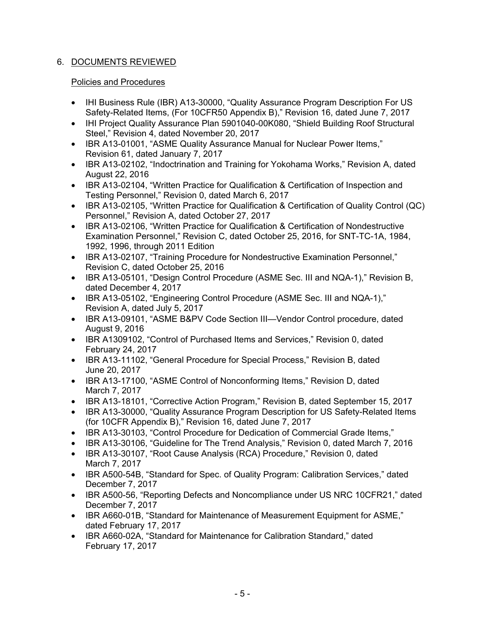# 6. DOCUMENTS REVIEWED

# Policies and Procedures

- IHI Business Rule (IBR) A13-30000, "Quality Assurance Program Description For US Safety-Related Items, (For 10CFR50 Appendix B)," Revision 16, dated June 7, 2017
- IHI Project Quality Assurance Plan 5901040-00K080, "Shield Building Roof Structural Steel," Revision 4, dated November 20, 2017
- IBR A13-01001, "ASME Quality Assurance Manual for Nuclear Power Items," Revision 61, dated January 7, 2017
- IBR A13-02102, "Indoctrination and Training for Yokohama Works," Revision A, dated August 22, 2016
- IBR A13-02104, "Written Practice for Qualification & Certification of Inspection and Testing Personnel," Revision 0, dated March 6, 2017
- IBR A13-02105, "Written Practice for Qualification & Certification of Quality Control (QC) Personnel," Revision A, dated October 27, 2017
- IBR A13-02106, "Written Practice for Qualification & Certification of Nondestructive Examination Personnel," Revision C, dated October 25, 2016, for SNT-TC-1A, 1984, 1992, 1996, through 2011 Edition
- IBR A13-02107, "Training Procedure for Nondestructive Examination Personnel," Revision C, dated October 25, 2016
- IBR A13-05101, "Design Control Procedure (ASME Sec. III and NQA-1)," Revision B, dated December 4, 2017
- IBR A13-05102, "Engineering Control Procedure (ASME Sec. III and NQA-1)," Revision A, dated July 5, 2017
- IBR A13-09101, "ASME B&PV Code Section III—Vendor Control procedure, dated August 9, 2016
- IBR A1309102, "Control of Purchased Items and Services," Revision 0, dated February 24, 2017
- IBR A13-11102, "General Procedure for Special Process," Revision B, dated June 20, 2017
- IBR A13-17100, "ASME Control of Nonconforming Items," Revision D, dated March 7, 2017
- IBR A13-18101, "Corrective Action Program," Revision B, dated September 15, 2017
- IBR A13-30000, "Quality Assurance Program Description for US Safety-Related Items (for 10CFR Appendix B)," Revision 16, dated June 7, 2017
- IBR A13-30103, "Control Procedure for Dedication of Commercial Grade Items,"
- IBR A13-30106, "Guideline for The Trend Analysis," Revision 0, dated March 7, 2016
- IBR A13-30107, "Root Cause Analysis (RCA) Procedure," Revision 0, dated March 7, 2017
- IBR A500-54B, "Standard for Spec. of Quality Program: Calibration Services," dated December 7, 2017
- IBR A500-56, "Reporting Defects and Noncompliance under US NRC 10CFR21," dated December 7, 2017
- IBR A660-01B, "Standard for Maintenance of Measurement Equipment for ASME," dated February 17, 2017
- IBR A660-02A, "Standard for Maintenance for Calibration Standard," dated February 17, 2017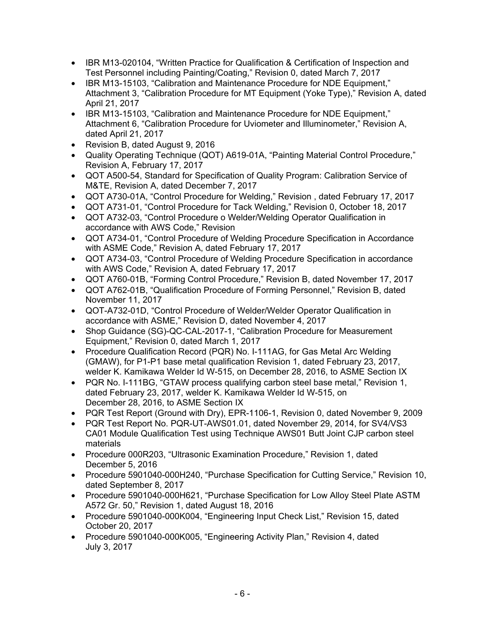- IBR M13-020104, "Written Practice for Qualification & Certification of Inspection and Test Personnel including Painting/Coating," Revision 0, dated March 7, 2017
- IBR M13-15103, "Calibration and Maintenance Procedure for NDE Equipment," Attachment 3, "Calibration Procedure for MT Equipment (Yoke Type)," Revision A, dated April 21, 2017
- IBR M13-15103, "Calibration and Maintenance Procedure for NDE Equipment," Attachment 6, "Calibration Procedure for Uviometer and Illuminometer," Revision A, dated April 21, 2017
- Revision B, dated August 9, 2016
- Quality Operating Technique (QOT) A619-01A, "Painting Material Control Procedure," Revision A, February 17, 2017
- QOT A500-54, Standard for Specification of Quality Program: Calibration Service of M&TE, Revision A, dated December 7, 2017
- QOT A730-01A, "Control Procedure for Welding," Revision , dated February 17, 2017
- QOT A731-01, "Control Procedure for Tack Welding," Revision 0, October 18, 2017
- QOT A732-03, "Control Procedure o Welder/Welding Operator Qualification in accordance with AWS Code," Revision
- QOT A734-01, "Control Procedure of Welding Procedure Specification in Accordance with ASME Code," Revision A, dated February 17, 2017
- QOT A734-03, "Control Procedure of Welding Procedure Specification in accordance with AWS Code," Revision A, dated February 17, 2017
- QOT A760-01B, "Forming Control Procedure," Revision B, dated November 17, 2017
- QOT A762-01B, "Qualification Procedure of Forming Personnel," Revision B, dated November 11, 2017
- QOT-A732-01D, "Control Procedure of Welder/Welder Operator Qualification in accordance with ASME," Revision D, dated November 4, 2017
- Shop Guidance (SG)-QC-CAL-2017-1, "Calibration Procedure for Measurement Equipment," Revision 0, dated March 1, 2017
- Procedure Qualification Record (PQR) No. I-111AG, for Gas Metal Arc Welding (GMAW), for P1-P1 base metal qualification Revision 1, dated February 23, 2017, welder K. Kamikawa Welder Id W-515, on December 28, 2016, to ASME Section IX
- PQR No. I-111BG, "GTAW process qualifying carbon steel base metal," Revision 1, dated February 23, 2017, welder K. Kamikawa Welder Id W-515, on December 28, 2016, to ASME Section IX
- PQR Test Report (Ground with Dry), EPR-1106-1, Revision 0, dated November 9, 2009
- PQR Test Report No. PQR-UT-AWS01.01, dated November 29, 2014, for SV4/VS3 CA01 Module Qualification Test using Technique AWS01 Butt Joint CJP carbon steel materials
- Procedure 000R203, "Ultrasonic Examination Procedure," Revision 1, dated December 5, 2016
- Procedure 5901040-000H240, "Purchase Specification for Cutting Service," Revision 10, dated September 8, 2017
- Procedure 5901040-000H621, "Purchase Specification for Low Alloy Steel Plate ASTM A572 Gr. 50," Revision 1, dated August 18, 2016
- Procedure 5901040-000K004, "Engineering Input Check List," Revision 15, dated October 20, 2017
- Procedure 5901040-000K005, "Engineering Activity Plan," Revision 4, dated July 3, 2017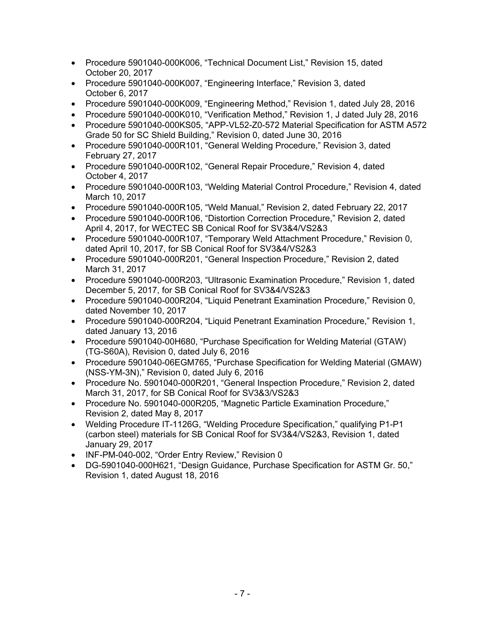- Procedure 5901040-000K006, "Technical Document List," Revision 15, dated October 20, 2017
- Procedure 5901040-000K007, "Engineering Interface," Revision 3, dated October 6, 2017
- Procedure 5901040-000K009, "Engineering Method," Revision 1, dated July 28, 2016
- Procedure 5901040-000K010, "Verification Method," Revision 1, J dated July 28, 2016
- Procedure 5901040-000KS05, "APP-VL52-Z0-572 Material Specification for ASTM A572 Grade 50 for SC Shield Building," Revision 0, dated June 30, 2016
- Procedure 5901040-000R101, "General Welding Procedure," Revision 3, dated February 27, 2017
- Procedure 5901040-000R102, "General Repair Procedure," Revision 4, dated October 4, 2017
- Procedure 5901040-000R103, "Welding Material Control Procedure," Revision 4, dated March 10, 2017
- Procedure 5901040-000R105, "Weld Manual," Revision 2, dated February 22, 2017
- Procedure 5901040-000R106, "Distortion Correction Procedure," Revision 2, dated April 4, 2017, for WECTEC SB Conical Roof for SV3&4/VS2&3
- Procedure 5901040-000R107, "Temporary Weld Attachment Procedure," Revision 0, dated April 10, 2017, for SB Conical Roof for SV3&4/VS2&3
- Procedure 5901040-000R201, "General Inspection Procedure," Revision 2, dated March 31, 2017
- Procedure 5901040-000R203, "Ultrasonic Examination Procedure," Revision 1, dated December 5, 2017, for SB Conical Roof for SV3&4/VS2&3
- Procedure 5901040-000R204, "Liquid Penetrant Examination Procedure," Revision 0, dated November 10, 2017
- Procedure 5901040-000R204, "Liquid Penetrant Examination Procedure," Revision 1, dated January 13, 2016
- Procedure 5901040-00H680, "Purchase Specification for Welding Material (GTAW) (TG-S60A), Revision 0, dated July 6, 2016
- Procedure 5901040-06EGM765, "Purchase Specification for Welding Material (GMAW) (NSS-YM-3N)," Revision 0, dated July 6, 2016
- Procedure No. 5901040-000R201, "General Inspection Procedure," Revision 2, dated March 31, 2017, for SB Conical Roof for SV3&3/VS2&3
- Procedure No. 5901040-000R205, "Magnetic Particle Examination Procedure," Revision 2, dated May 8, 2017
- Welding Procedure IT-1126G, "Welding Procedure Specification," qualifying P1-P1 (carbon steel) materials for SB Conical Roof for SV3&4/VS2&3, Revision 1, dated January 29, 2017
- INF-PM-040-002, "Order Entry Review," Revision 0
- DG-5901040-000H621, "Design Guidance, Purchase Specification for ASTM Gr. 50," Revision 1, dated August 18, 2016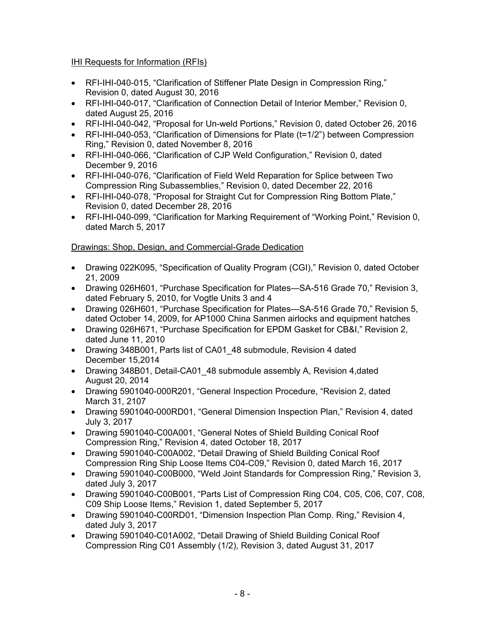# IHI Requests for Information (RFIs)

- RFI-IHI-040-015, "Clarification of Stiffener Plate Design in Compression Ring," Revision 0, dated August 30, 2016
- RFI-IHI-040-017, "Clarification of Connection Detail of Interior Member," Revision 0, dated August 25, 2016
- RFI-IHI-040-042, "Proposal for Un-weld Portions," Revision 0, dated October 26, 2016
- RFI-IHI-040-053, "Clarification of Dimensions for Plate (t=1/2") between Compression Ring," Revision 0, dated November 8, 2016
- RFI-IHI-040-066, "Clarification of CJP Weld Configuration," Revision 0, dated December 9, 2016
- RFI-IHI-040-076, "Clarification of Field Weld Reparation for Splice between Two Compression Ring Subassemblies," Revision 0, dated December 22, 2016
- RFI-IHI-040-078, "Proposal for Straight Cut for Compression Ring Bottom Plate," Revision 0, dated December 28, 2016
- RFI-IHI-040-099, "Clarification for Marking Requirement of "Working Point," Revision 0, dated March 5, 2017

# Drawings: Shop, Design, and Commercial-Grade Dedication

- Drawing 022K095, "Specification of Quality Program (CGI)," Revision 0, dated October 21, 2009
- Drawing 026H601, "Purchase Specification for Plates—SA-516 Grade 70," Revision 3, dated February 5, 2010, for Vogtle Units 3 and 4
- Drawing 026H601, "Purchase Specification for Plates—SA-516 Grade 70," Revision 5, dated October 14, 2009, for AP1000 China Sanmen airlocks and equipment hatches
- Drawing 026H671, "Purchase Specification for EPDM Gasket for CB&I," Revision 2, dated June 11, 2010
- Drawing 348B001, Parts list of CA01 48 submodule, Revision 4 dated December 15,2014
- Drawing 348B01, Detail-CA01\_48 submodule assembly A, Revision 4,dated August 20, 2014
- Drawing 5901040-000R201, "General Inspection Procedure, "Revision 2, dated March 31, 2107
- Drawing 5901040-000RD01, "General Dimension Inspection Plan," Revision 4, dated July 3, 2017
- Drawing 5901040-C00A001, "General Notes of Shield Building Conical Roof Compression Ring," Revision 4, dated October 18, 2017
- Drawing 5901040-C00A002, "Detail Drawing of Shield Building Conical Roof Compression Ring Ship Loose Items C04-C09," Revision 0, dated March 16, 2017
- Drawing 5901040-C00B000, "Weld Joint Standards for Compression Ring," Revision 3, dated July 3, 2017
- Drawing 5901040-C00B001, "Parts List of Compression Ring C04, C05, C06, C07, C08, C09 Ship Loose Items," Revision 1, dated September 5, 2017
- Drawing 5901040-C00RD01, "Dimension Inspection Plan Comp. Ring," Revision 4, dated July 3, 2017
- Drawing 5901040-C01A002, "Detail Drawing of Shield Building Conical Roof Compression Ring C01 Assembly (1/2), Revision 3, dated August 31, 2017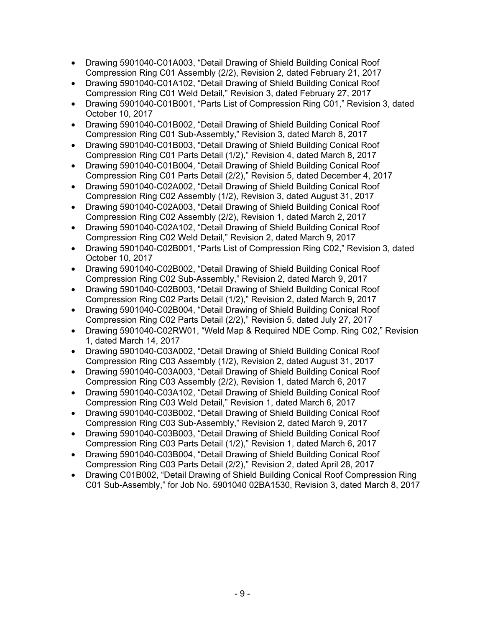- Drawing 5901040-C01A003, "Detail Drawing of Shield Building Conical Roof Compression Ring C01 Assembly (2/2), Revision 2, dated February 21, 2017
- Drawing 5901040-C01A102, "Detail Drawing of Shield Building Conical Roof Compression Ring C01 Weld Detail," Revision 3, dated February 27, 2017
- Drawing 5901040-C01B001, "Parts List of Compression Ring C01," Revision 3, dated October 10, 2017
- Drawing 5901040-C01B002, "Detail Drawing of Shield Building Conical Roof Compression Ring C01 Sub-Assembly," Revision 3, dated March 8, 2017
- Drawing 5901040-C01B003, "Detail Drawing of Shield Building Conical Roof Compression Ring C01 Parts Detail (1/2)," Revision 4, dated March 8, 2017
- Drawing 5901040-C01B004, "Detail Drawing of Shield Building Conical Roof Compression Ring C01 Parts Detail (2/2)," Revision 5, dated December 4, 2017
- Drawing 5901040-C02A002, "Detail Drawing of Shield Building Conical Roof Compression Ring C02 Assembly (1/2), Revision 3, dated August 31, 2017
- Drawing 5901040-C02A003, "Detail Drawing of Shield Building Conical Roof Compression Ring C02 Assembly (2/2), Revision 1, dated March 2, 2017
- Drawing 5901040-C02A102, "Detail Drawing of Shield Building Conical Roof Compression Ring C02 Weld Detail," Revision 2, dated March 9, 2017
- Drawing 5901040-C02B001, "Parts List of Compression Ring C02," Revision 3, dated October 10, 2017
- Drawing 5901040-C02B002, "Detail Drawing of Shield Building Conical Roof Compression Ring C02 Sub-Assembly," Revision 2, dated March 9, 2017
- Drawing 5901040-C02B003, "Detail Drawing of Shield Building Conical Roof Compression Ring C02 Parts Detail (1/2)," Revision 2, dated March 9, 2017
- Drawing 5901040-C02B004, "Detail Drawing of Shield Building Conical Roof Compression Ring C02 Parts Detail (2/2)," Revision 5, dated July 27, 2017
- Drawing 5901040-C02RW01, "Weld Map & Required NDE Comp. Ring C02," Revision 1, dated March 14, 2017
- Drawing 5901040-C03A002, "Detail Drawing of Shield Building Conical Roof Compression Ring C03 Assembly (1/2), Revision 2, dated August 31, 2017
- Drawing 5901040-C03A003, "Detail Drawing of Shield Building Conical Roof Compression Ring C03 Assembly (2/2), Revision 1, dated March 6, 2017
- Drawing 5901040-C03A102, "Detail Drawing of Shield Building Conical Roof Compression Ring C03 Weld Detail," Revision 1, dated March 6, 2017
- Drawing 5901040-C03B002, "Detail Drawing of Shield Building Conical Roof Compression Ring C03 Sub-Assembly," Revision 2, dated March 9, 2017
- Drawing 5901040-C03B003, "Detail Drawing of Shield Building Conical Roof Compression Ring C03 Parts Detail (1/2)," Revision 1, dated March 6, 2017
- Drawing 5901040-C03B004, "Detail Drawing of Shield Building Conical Roof Compression Ring C03 Parts Detail (2/2)," Revision 2, dated April 28, 2017
- Drawing C01B002, "Detail Drawing of Shield Building Conical Roof Compression Ring C01 Sub-Assembly," for Job No. 5901040 02BA1530, Revision 3, dated March 8, 2017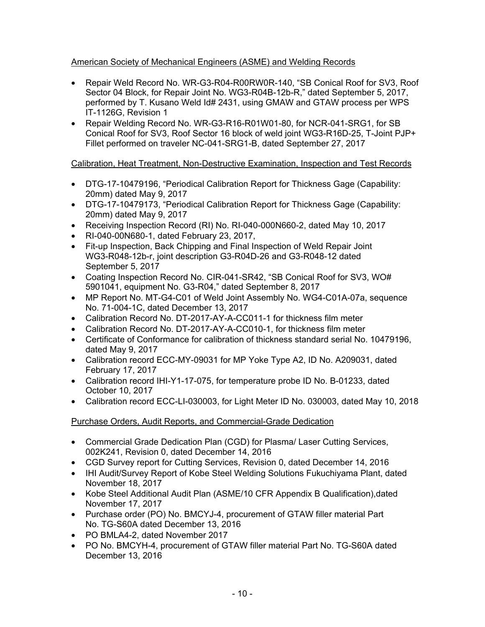# American Society of Mechanical Engineers (ASME) and Welding Records

- Repair Weld Record No. WR-G3-R04-R00RW0R-140, "SB Conical Roof for SV3, Roof Sector 04 Block, for Repair Joint No. WG3-R04B-12b-R," dated September 5, 2017, performed by T. Kusano Weld Id# 2431, using GMAW and GTAW process per WPS IT-1126G, Revision 1
- Repair Welding Record No. WR-G3-R16-R01W01-80, for NCR-041-SRG1, for SB Conical Roof for SV3, Roof Sector 16 block of weld joint WG3-R16D-25, T-Joint PJP+ Fillet performed on traveler NC-041-SRG1-B, dated September 27, 2017

# Calibration, Heat Treatment, Non-Destructive Examination, Inspection and Test Records

- DTG-17-10479196, "Periodical Calibration Report for Thickness Gage (Capability: 20mm) dated May 9, 2017
- DTG-17-10479173, "Periodical Calibration Report for Thickness Gage (Capability: 20mm) dated May 9, 2017
- Receiving Inspection Record (RI) No. RI-040-000N660-2, dated May 10, 2017
- RI-040-00N680-1, dated February 23, 2017,
- Fit-up Inspection, Back Chipping and Final Inspection of Weld Repair Joint WG3-R048-12b-r, joint description G3-R04D-26 and G3-R048-12 dated September 5, 2017
- Coating Inspection Record No. CIR-041-SR42, "SB Conical Roof for SV3, WO# 5901041, equipment No. G3-R04," dated September 8, 2017
- MP Report No. MT-G4-C01 of Weld Joint Assembly No. WG4-C01A-07a, sequence No. 71-004-1C, dated December 13, 2017
- Calibration Record No. DT-2017-AY-A-CC011-1 for thickness film meter
- Calibration Record No. DT-2017-AY-A-CC010-1, for thickness film meter
- Certificate of Conformance for calibration of thickness standard serial No. 10479196, dated May 9, 2017
- Calibration record ECC-MY-09031 for MP Yoke Type A2, ID No. A209031, dated February 17, 2017
- Calibration record IHI-Y1-17-075, for temperature probe ID No. B-01233, dated October 10, 2017
- Calibration record ECC-LI-030003, for Light Meter ID No. 030003, dated May 10, 2018

# Purchase Orders, Audit Reports, and Commercial-Grade Dedication

- Commercial Grade Dedication Plan (CGD) for Plasma/ Laser Cutting Services, 002K241, Revision 0, dated December 14, 2016
- CGD Survey report for Cutting Services, Revision 0, dated December 14, 2016
- IHI Audit/Survey Report of Kobe Steel Welding Solutions Fukuchiyama Plant, dated November 18, 2017
- Kobe Steel Additional Audit Plan (ASME/10 CFR Appendix B Qualification),dated November 17, 2017
- Purchase order (PO) No. BMCYJ-4, procurement of GTAW filler material Part No. TG-S60A dated December 13, 2016
- PO BMLA4-2, dated November 2017
- PO No. BMCYH-4, procurement of GTAW filler material Part No. TG-S60A dated December 13, 2016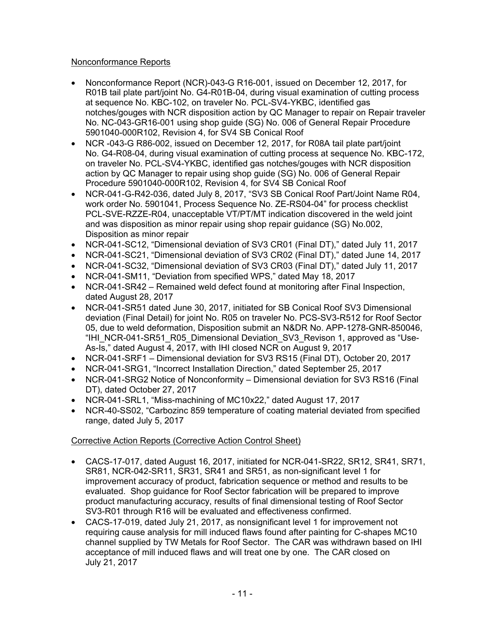## Nonconformance Reports

- Nonconformance Report (NCR)-043-G R16-001, issued on December 12, 2017, for R01B tail plate part/joint No. G4-R01B-04, during visual examination of cutting process at sequence No. KBC-102, on traveler No. PCL-SV4-YKBC, identified gas notches/gouges with NCR disposition action by QC Manager to repair on Repair traveler No. NC-043-GR16-001 using shop guide (SG) No. 006 of General Repair Procedure 5901040-000R102, Revision 4, for SV4 SB Conical Roof
- NCR -043-G R86-002, issued on December 12, 2017, for R08A tail plate part/joint No. G4-R08-04, during visual examination of cutting process at sequence No. KBC-172, on traveler No. PCL-SV4-YKBC, identified gas notches/gouges with NCR disposition action by QC Manager to repair using shop guide (SG) No. 006 of General Repair Procedure 5901040-000R102, Revision 4, for SV4 SB Conical Roof
- NCR-041-G-R42-036, dated July 8, 2017, "SV3 SB Conical Roof Part/Joint Name R04, work order No. 5901041, Process Sequence No. ZE-RS04-04" for process checklist PCL-SVE-RZZE-R04, unacceptable VT/PT/MT indication discovered in the weld joint and was disposition as minor repair using shop repair guidance (SG) No.002, Disposition as minor repair
- NCR-041-SC12, "Dimensional deviation of SV3 CR01 (Final DT)," dated July 11, 2017
- NCR-041-SC21, "Dimensional deviation of SV3 CR02 (Final DT)," dated June 14, 2017
- NCR-041-SC32, "Dimensional deviation of SV3 CR03 (Final DT)," dated July 11, 2017
- NCR-041-SM11, "Deviation from specified WPS," dated May 18, 2017
- NCR-041-SR42 Remained weld defect found at monitoring after Final Inspection, dated August 28, 2017
- NCR-041-SR51 dated June 30, 2017, initiated for SB Conical Roof SV3 Dimensional deviation (Final Detail) for joint No. R05 on traveler No. PCS-SV3-R512 for Roof Sector 05, due to weld deformation, Disposition submit an N&DR No. APP-1278-GNR-850046, "IHI\_NCR-041-SR51\_R05\_Dimensional Deviation\_SV3\_Revison 1, approved as "Use-As-Is," dated August 4, 2017, with IHI closed NCR on August 9, 2017
- NCR-041-SRF1 Dimensional deviation for SV3 RS15 (Final DT), October 20, 2017
- NCR-041-SRG1, "Incorrect Installation Direction," dated September 25, 2017
- NCR-041-SRG2 Notice of Nonconformity Dimensional deviation for SV3 RS16 (Final DT), dated October 27, 2017
- NCR-041-SRL1, "Miss-machining of MC10x22," dated August 17, 2017
- NCR-40-SS02, "Carbozinc 859 temperature of coating material deviated from specified range, dated July 5, 2017

# Corrective Action Reports (Corrective Action Control Sheet)

- CACS-17-017, dated August 16, 2017, initiated for NCR-041-SR22, SR12, SR41, SR71, SR81, NCR-042-SR11, SR31, SR41 and SR51, as non-significant level 1 for improvement accuracy of product, fabrication sequence or method and results to be evaluated. Shop guidance for Roof Sector fabrication will be prepared to improve product manufacturing accuracy, results of final dimensional testing of Roof Sector SV3-R01 through R16 will be evaluated and effectiveness confirmed.
- CACS-17-019, dated July 21, 2017, as nonsignificant level 1 for improvement not requiring cause analysis for mill induced flaws found after painting for C-shapes MC10 channel supplied by TW Metals for Roof Sector. The CAR was withdrawn based on IHI acceptance of mill induced flaws and will treat one by one. The CAR closed on July 21, 2017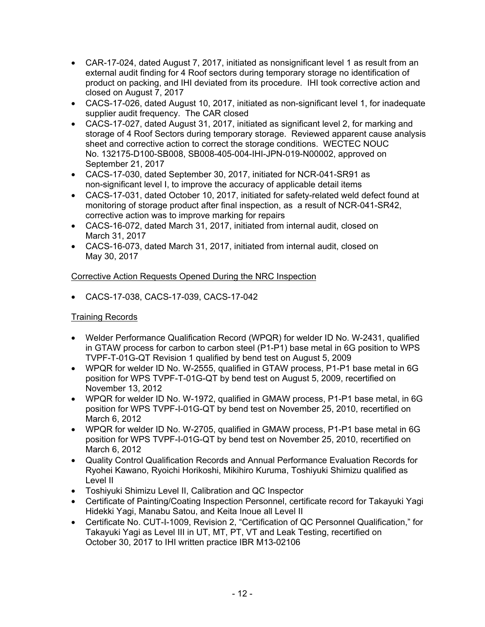- CAR-17-024, dated August 7, 2017, initiated as nonsignificant level 1 as result from an external audit finding for 4 Roof sectors during temporary storage no identification of product on packing, and IHI deviated from its procedure. IHI took corrective action and closed on August 7, 2017
- CACS-17-026, dated August 10, 2017, initiated as non-significant level 1, for inadequate supplier audit frequency. The CAR closed
- CACS-17-027, dated August 31, 2017, initiated as significant level 2, for marking and storage of 4 Roof Sectors during temporary storage. Reviewed apparent cause analysis sheet and corrective action to correct the storage conditions. WECTEC NOUC No. 132175-D100-SB008, SB008-405-004-IHI-JPN-019-N00002, approved on September 21, 2017
- CACS-17-030, dated September 30, 2017, initiated for NCR-041-SR91 as non-significant level I, to improve the accuracy of applicable detail items
- CACS-17-031, dated October 10, 2017, initiated for safety-related weld defect found at monitoring of storage product after final inspection, as a result of NCR-041-SR42, corrective action was to improve marking for repairs
- CACS-16-072, dated March 31, 2017, initiated from internal audit, closed on March 31, 2017
- CACS-16-073, dated March 31, 2017, initiated from internal audit, closed on May 30, 2017

# Corrective Action Requests Opened During the NRC Inspection

• CACS-17-038, CACS-17-039, CACS-17-042

# Training Records

- Welder Performance Qualification Record (WPQR) for welder ID No. W-2431, qualified in GTAW process for carbon to carbon steel (P1-P1) base metal in 6G position to WPS TVPF-T-01G-QT Revision 1 qualified by bend test on August 5, 2009
- WPQR for welder ID No. W-2555, qualified in GTAW process, P1-P1 base metal in 6G position for WPS TVPF-T-01G-QT by bend test on August 5, 2009, recertified on November 13, 2012
- WPQR for welder ID No. W-1972, qualified in GMAW process, P1-P1 base metal, in 6G position for WPS TVPF-I-01G-QT by bend test on November 25, 2010, recertified on March 6, 2012
- WPQR for welder ID No. W-2705, qualified in GMAW process, P1-P1 base metal in 6G position for WPS TVPF-I-01G-QT by bend test on November 25, 2010, recertified on March 6, 2012
- Quality Control Qualification Records and Annual Performance Evaluation Records for Ryohei Kawano, Ryoichi Horikoshi, Mikihiro Kuruma, Toshiyuki Shimizu qualified as Level II
- Toshiyuki Shimizu Level II, Calibration and QC Inspector
- Certificate of Painting/Coating Inspection Personnel, certificate record for Takayuki Yagi Hidekki Yagi, Manabu Satou, and Keita Inoue all Level II
- Certificate No. CUT-I-1009, Revision 2, "Certification of QC Personnel Qualification," for Takayuki Yagi as Level III in UT, MT, PT, VT and Leak Testing, recertified on October 30, 2017 to IHI written practice IBR M13-02106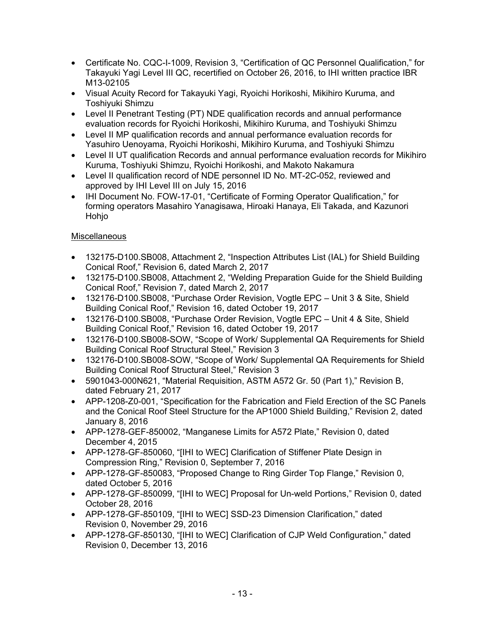- Certificate No. CQC-I-1009, Revision 3, "Certification of QC Personnel Qualification," for Takayuki Yagi Level III QC, recertified on October 26, 2016, to IHI written practice IBR M13-02105
- Visual Acuity Record for Takayuki Yagi, Ryoichi Horikoshi, Mikihiro Kuruma, and Toshiyuki Shimzu
- Level II Penetrant Testing (PT) NDE qualification records and annual performance evaluation records for Ryoichi Horikoshi, Mikihiro Kuruma, and Toshiyuki Shimzu
- Level II MP qualification records and annual performance evaluation records for Yasuhiro Uenoyama, Ryoichi Horikoshi, Mikihiro Kuruma, and Toshiyuki Shimzu
- Level II UT qualification Records and annual performance evaluation records for Mikihiro Kuruma, Toshiyuki Shimzu, Ryoichi Horikoshi, and Makoto Nakamura
- Level II qualification record of NDE personnel ID No. MT-2C-052, reviewed and approved by IHI Level III on July 15, 2016
- IHI Document No. FOW-17-01, "Certificate of Forming Operator Qualification," for forming operators Masahiro Yanagisawa, Hiroaki Hanaya, Eli Takada, and Kazunori Hohjo

# **Miscellaneous**

- 132175-D100.SB008, Attachment 2, "Inspection Attributes List (IAL) for Shield Building Conical Roof," Revision 6, dated March 2, 2017
- 132175-D100.SB008, Attachment 2, "Welding Preparation Guide for the Shield Building Conical Roof," Revision 7, dated March 2, 2017
- 132176-D100.SB008, "Purchase Order Revision, Vogtle EPC Unit 3 & Site, Shield Building Conical Roof," Revision 16, dated October 19, 2017
- 132176-D100.SB008, "Purchase Order Revision, Vogtle EPC Unit 4 & Site, Shield Building Conical Roof," Revision 16, dated October 19, 2017
- 132176-D100.SB008-SOW, "Scope of Work/ Supplemental QA Requirements for Shield Building Conical Roof Structural Steel," Revision 3
- 132176-D100.SB008-SOW, "Scope of Work/ Supplemental QA Requirements for Shield Building Conical Roof Structural Steel," Revision 3
- 5901043-000N621, "Material Requisition, ASTM A572 Gr. 50 (Part 1)," Revision B, dated February 21, 2017
- APP-1208-Z0-001, "Specification for the Fabrication and Field Erection of the SC Panels and the Conical Roof Steel Structure for the AP1000 Shield Building," Revision 2, dated January 8, 2016
- APP-1278-GEF-850002, "Manganese Limits for A572 Plate," Revision 0, dated December 4, 2015
- APP-1278-GF-850060, "[IHI to WEC] Clarification of Stiffener Plate Design in Compression Ring," Revision 0, September 7, 2016
- APP-1278-GF-850083, "Proposed Change to Ring Girder Top Flange," Revision 0, dated October 5, 2016
- APP-1278-GF-850099, "[IHI to WEC] Proposal for Un-weld Portions," Revision 0, dated October 28, 2016
- APP-1278-GF-850109, "[IHI to WEC] SSD-23 Dimension Clarification," dated Revision 0, November 29, 2016
- APP-1278-GF-850130, "[IHI to WEC] Clarification of CJP Weld Configuration," dated Revision 0, December 13, 2016